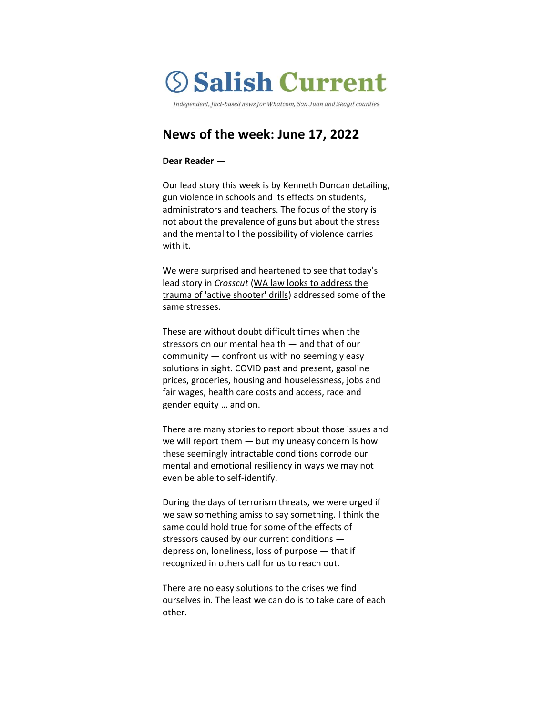# **Salish Current**

Independent, fact-based news for Whatcom, San Juan and Skagit counties

# **News of the week: June 17, 2022**

#### **Dear Reader —**

Our lead story this week is by Kenneth Duncan detailing, gun violence in schools and its effects on students, administrators and teachers. The focus of the story is not about the prevalence of guns but about the stress and the mental toll the possibility of violence carries with it.

We were surprised and heartened to see that today's lead story in *Crosscut* [\(WA law looks to address the](https://crosscut.com/news/2022/06/wa-law-looks-address-trauma-active-shooter-drills)  [trauma of 'active shooter' drills\)](https://crosscut.com/news/2022/06/wa-law-looks-address-trauma-active-shooter-drills) addressed some of the same stresses.

These are without doubt difficult times when the stressors on our mental health — and that of our community — confront us with no seemingly easy solutions in sight. COVID past and present, gasoline prices, groceries, housing and houselessness, jobs and fair wages, health care costs and access, race and gender equity … and on.

There are many stories to report about those issues and we will report them — but my uneasy concern is how these seemingly intractable conditions corrode our mental and emotional resiliency in ways we may not even be able to self-identify.

During the days of terrorism threats, we were urged if we saw something amiss to say something. I think the same could hold true for some of the effects of stressors caused by our current conditions depression, loneliness, loss of purpose — that if recognized in others call for us to reach out.

There are no easy solutions to the crises we find ourselves in. The least we can do is to take care of each other.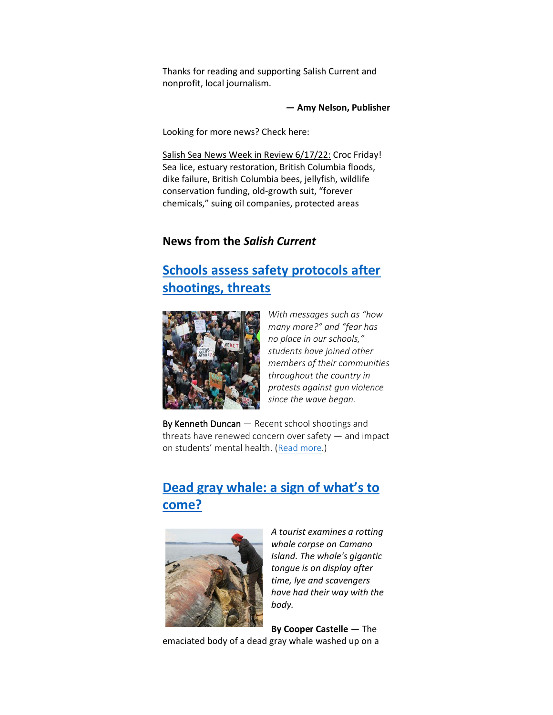Thanks for reading and supporting [Salish Current](https://salish-current.org/donate) and nonprofit, local journalism.

**— Amy Nelson, Publisher**

Looking for more news? Check here:

[Salish Sea News Week in Review 6/17/22:](https://bit.ly/3xAhB7t) Croc Friday! Sea lice, estuary restoration, British Columbia floods, dike failure, British Columbia bees, jellyfish, wildlife conservation funding, old-growth suit, "forever chemicals," suing oil companies, protected areas

## **News from the** *Salish Current*

## **[Schools assess safety protocols after](https://salish-current.org/2022/06/17/schools-assess-safety-protocols-after-shootings-threats/)  [shootings, threats](https://salish-current.org/2022/06/17/schools-assess-safety-protocols-after-shootings-threats/)**



*With messages such as "how many more?" and "fear has no place in our schools," students have joined other members of their communities throughout the country in protests against gun violence since the wave began.*

By Kenneth Duncan — Recent school shootings and threats have renewed concern over safety — and impact on students' mental health. ([Read more.](https://salish-current.org/2022/06/17/schools-assess-safety-protocols-after-shootings-threats/))

# **[Dead gray whale: a](https://salish-current.org/2022/06/17/dead-gray-whale-a-sign-of-whats-to-come/) sign of what's to [come?](https://salish-current.org/2022/06/17/dead-gray-whale-a-sign-of-whats-to-come/)**



*A tourist examines a rotting whale corpse on Camano Island. The whale's gigantic tongue is on display after time, lye and scavengers have had their way with the body.*

**By Cooper Castelle** — The emaciated body of a dead gray whale washed up on a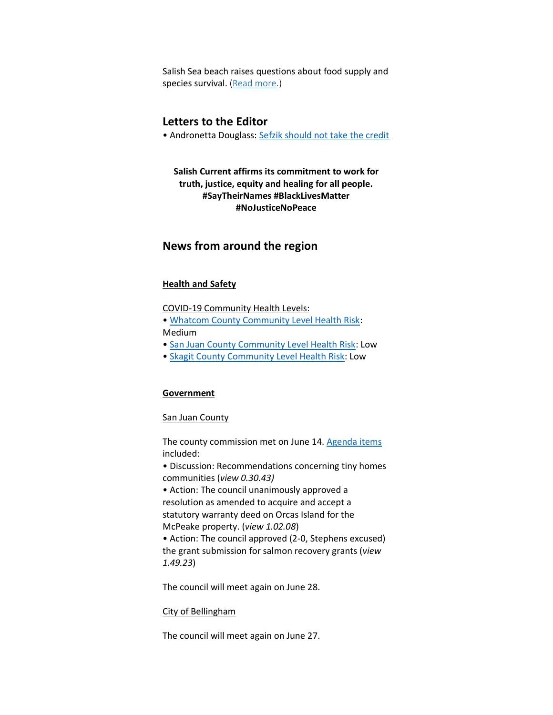Salish Sea beach raises questions about food supply and species survival. [\(Read more.](https://salish-current.org/2022/06/17/dead-gray-whale-a-sign-of-whats-to-come/))

## **Letters to the Editor**

• Andronetta Douglass: [Sefzik should not take the credit](https://salish-current.org/letters-to-the-editor/)

**Salish Current affirms its commitment to work for truth, justice, equity and healing for all people. #SayTheirNames #BlackLivesMatter #NoJusticeNoPeace**

### **News from around the region**

#### **Health and Safety**

COVID-19 Community Health Levels:

- [Whatcom County Community Level Health Risk:](https://covidactnow.org/us/washington-wa/county/whatcom_county/?s=32682088) Medium
- [San Juan County Community Level Health Risk:](https://covidactnow.org/us/washington-wa/county/san_juan_county/?s=32682088) Low
- [Skagit County Community Level Health Risk:](https://covidactnow.org/us/washington-wa/county/skagit_county/?s=32682088) Low

#### **Government**

#### San Juan County

The county commission met on June 14. [Agenda items](https://media.avcaptureall.cloud/meeting/6510f7d8-702c-4caa-95c3-81efff144ec1) included:

• Discussion: Recommendations concerning tiny homes communities (*view 0.30.43)*

• Action: The council unanimously approved a resolution as amended to acquire and accept a statutory warranty deed on Orcas Island for the McPeake property. (*view 1.02.08*)

• Action: The council approved (2-0, Stephens excused) the grant submission for salmon recovery grants (*view 1.49.23*)

The council will meet again on June 28.

#### City of Bellingham

The council will meet again on June 27.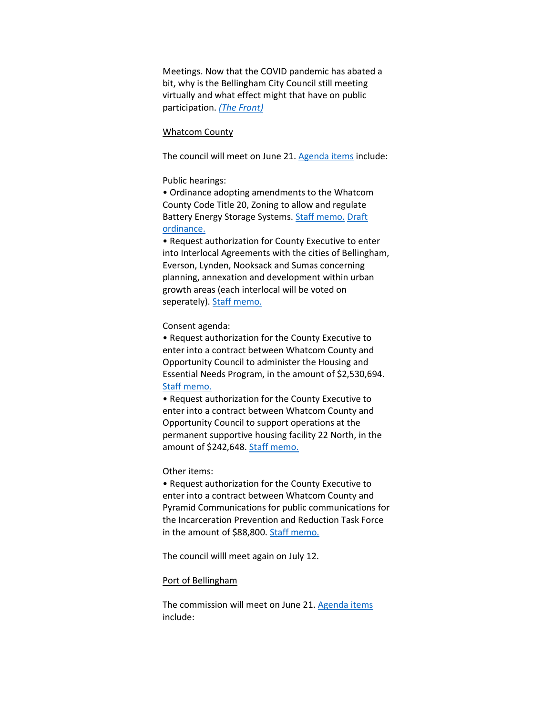Meetings. Now that the COVID pandemic has abated a bit, why is the Bellingham City Council still meeting virtually and what effect might that have on public participation. *[\(The Front\)](https://www.westernfrontonline.com/article/2022/06/city-council-brief)*

#### Whatcom County

The council will meet on June 21[. Agenda items](https://whatcom.legistar.com/View.ashx?M=A&ID=899921&GUID=4CBB726E-B5B3-493C-BA5B-3C9368D8889B) include:

#### Public hearings:

• Ordinance adopting amendments to the Whatcom County Code Title 20, Zoning to allow and regulate Battery Energy Storage Systems. [Staff memo.](https://whatcom.legistar.com/View.ashx?M=F&ID=10926028&GUID=02880A90-5219-4960-BD1E-02C392DEEDA8) [Draft](https://whatcom.legistar.com/View.ashx?M=F&ID=10957396&GUID=EF4125CF-8812-45B9-AC96-57441F93A523)  [ordinance.](https://whatcom.legistar.com/View.ashx?M=F&ID=10957396&GUID=EF4125CF-8812-45B9-AC96-57441F93A523)

• Request authorization for County Executive to enter into Interlocal Agreements with the cities of Bellingham, Everson, Lynden, Nooksack and Sumas concerning planning, annexation and development within urban growth areas (each interlocal will be voted on seperately). [Staff memo.](https://whatcom.legistar.com/View.ashx?M=F&ID=10968702&GUID=E8D6C33A-59AF-433A-832F-080085A9623E)

#### Consent agenda:

• Request authorization for the County Executive to enter into a contract between Whatcom County and Opportunity Council to administer the Housing and Essential Needs Program, in the amount of \$2,530,694. [Staff memo.](https://whatcom.legistar.com/View.ashx?M=F&ID=10982776&GUID=4E881340-F3CE-470C-90F2-E3EBBF6965A0)

• Request authorization for the County Executive to enter into a contract between Whatcom County and Opportunity Council to support operations at the permanent supportive housing facility 22 North, in the amount of \$242,648. [Staff memo.](https://whatcom.legistar.com/View.ashx?M=F&ID=10982805&GUID=8DBEE6FD-331A-4ACA-A090-385EDEF6DDC0)

#### Other items:

• Request authorization for the County Executive to enter into a contract between Whatcom County and Pyramid Communications for public communications for the Incarceration Prevention and Reduction Task Force in the amount of \$88,800. [Staff memo.](https://whatcom.legistar.com/View.ashx?M=F&ID=10926984&GUID=4E727B8F-3E07-4650-A5D4-10BAEE99689A)

The council willl meet again on July 12.

#### Port of Bellingham

The commission will meet on June 21. [Agenda items](https://www.portofbellingham.com/AgendaCenter/ViewFile/Agenda/_06212022-518) include: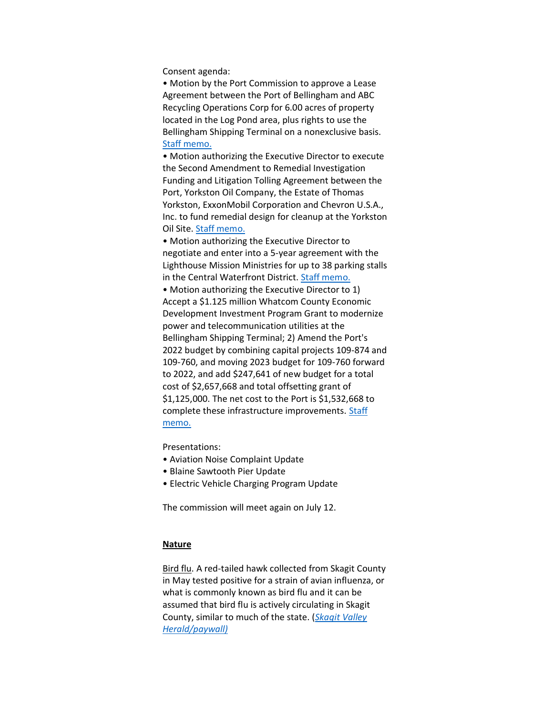Consent agenda:

• Motion by the Port Commission to approve a Lease Agreement between the Port of Bellingham and ABC Recycling Operations Corp for 6.00 acres of property located in the Log Pond area, plus rights to use the Bellingham Shipping Terminal on a nonexclusive basis. [Staff memo.](https://www.portofbellingham.com/DocumentCenter/View/11625/D)

• Motion authorizing the Executive Director to execute the Second Amendment to Remedial Investigation Funding and Litigation Tolling Agreement between the Port, Yorkston Oil Company, the Estate of Thomas Yorkston, ExxonMobil Corporation and Chevron U.S.A., Inc. to fund remedial design for cleanup at the Yorkston Oil Site. [Staff memo.](https://www.portofbellingham.com/DocumentCenter/View/11626/E)

• Motion authorizing the Executive Director to negotiate and enter into a 5-year agreement with the Lighthouse Mission Ministries for up to 38 parking stalls in the Central Waterfront District. [Staff memo.](https://www.portofbellingham.com/DocumentCenter/View/11627/F)

• Motion authorizing the Executive Director to 1) Accept a \$1.125 million Whatcom County Economic Development Investment Program Grant to modernize power and telecommunication utilities at the Bellingham Shipping Terminal; 2) Amend the Port's 2022 budget by combining capital projects 109-874 and 109-760, and moving 2023 budget for 109-760 forward to 2022, and add \$247,641 of new budget for a total cost of \$2,657,668 and total offsetting grant of \$1,125,000. The net cost to the Port is \$1,532,668 to complete these infrastructure improvements. Staff [memo.](https://www.portofbellingham.com/DocumentCenter/View/11628/G)

Presentations:

- Aviation Noise Complaint Update
- Blaine Sawtooth Pier Update
- Electric Vehicle Charging Program Update

The commission will meet again on July 12.

#### **Nature**

Bird flu. A red-tailed hawk collected from Skagit County in May tested positive for a strain of avian influenza, or what is commonly known as bird flu and it can be assumed that bird flu is actively circulating in Skagit County, similar to much of the state. (*[Skagit Valley](https://www.goskagit.com/news/local_news/bird-flu-found-in-skagit-county/article_9f69a669-042d-538c-b3d1-842a29f89c49.html)  [Herald/paywall\)](https://www.goskagit.com/news/local_news/bird-flu-found-in-skagit-county/article_9f69a669-042d-538c-b3d1-842a29f89c49.html)*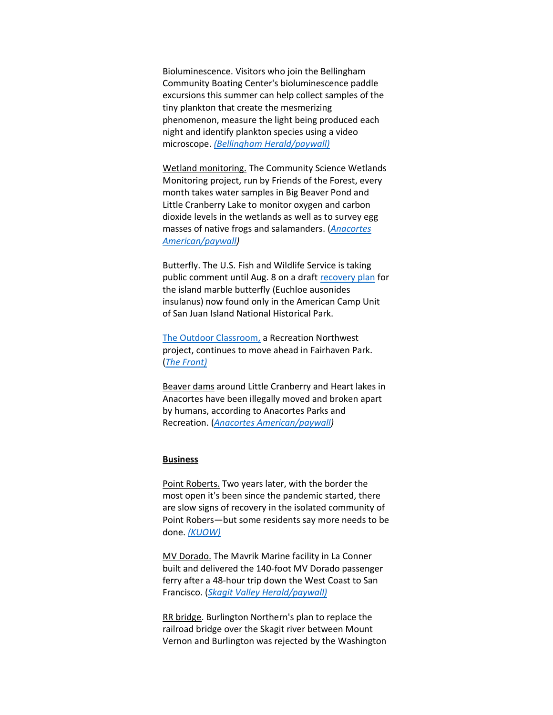Bioluminescence. Visitors who join the Bellingham Community Boating Center's bioluminescence paddle excursions this summer can help collect samples of the tiny plankton that create the mesmerizing phenomenon, measure the light being produced each night and identify plankton species using a video microscope. *[\(Bellingham Herald/paywall\)](https://www.bellinghamherald.com/news/local/article262370622.html)*

Wetland monitoring. The Community Science Wetlands Monitoring project, run by Friends of the Forest, every month takes water samples in Big Beaver Pond and Little Cranberry Lake to monitor oxygen and carbon dioxide levels in the wetlands as well as to survey egg masses of native frogs and salamanders. (*[Anacortes](https://www.goskagit.com/anacortes/news/community-scientists-monitor-area-marshes/article_fbeb06c4-ec31-11ec-8079-bfc58e7b9e0c.html)  [American/paywall\)](https://www.goskagit.com/anacortes/news/community-scientists-monitor-area-marshes/article_fbeb06c4-ec31-11ec-8079-bfc58e7b9e0c.html)*

Butterfly. The U.S. Fish and Wildlife Service is taking public comment until Aug. 8 on a draft [recovery plan](https://www.fws.gov/story/2022-06/service-seeks-public-comment-draft-recovery-plan-island-marble-butterfly) for the island marble butterfly (Euchloe ausonides insulanus) now found only in the American Camp Unit of San Juan Island National Historical Park.

[The Outdoor Classroom,](https://www.recreationnorthwest.org/programs/fairhaven-park/outdoor-classroom/) a Recreation Northwest project, continues to move ahead in Fairhaven Park. (*[The Front\)](https://www.westernfrontonline.com/article/2022/06/recreation-northwest-to-build-outdoor-classroom-in-fairhaven-park)*

Beaver dams around Little Cranberry and Heart lakes in Anacortes have been illegally moved and broken apart by humans, according to Anacortes Parks and Recreation. (*[Anacortes American/paywall\)](https://www.goskagit.com/anacortes/news/people-destroying-beaver-dams-in-forest-lands/article_71ccbcae-ec3a-11ec-b278-57a875a8be93.html)*

#### **Business**

Point Roberts. Two years later, with the border the most open it's been since the pandemic started, there are slow signs of recovery in the isolated community of Point Robers—but some residents say more needs to be done. *[\(KUOW\)](https://kuow.org/stories/after-two-years-of-isolation-point-roberts-is-open-for-business-sort-of)*

MV Dorado. The Mavrik Marine facility in La Conner built and delivered the 140-foot MV Dorado passenger ferry after a 48-hour trip down the West Coast to San Francisco. (*[Skagit Valley Herald/paywall\)](https://www.goskagit.com/news/business/la-conner-boat-builder-delivers-ferry-to-san-fransisco/article_d270a83f-a1f0-58d7-8f90-576a507bc2fb.html)* 

RR bridge. Burlington Northern's plan to replace the railroad bridge over the Skagit river between Mount Vernon and Burlington was rejected by the Washington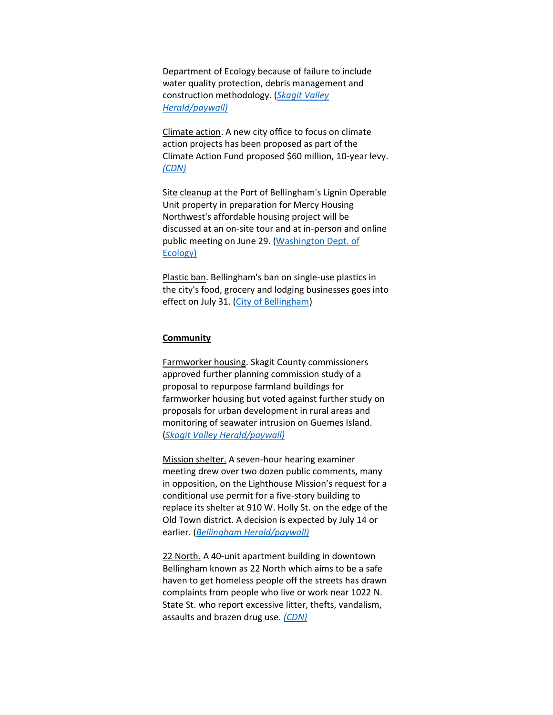Department of Ecology because of failure to include water quality protection, debris management and construction methodology. (*[Skagit Valley](https://www.goskagit.com/news/local_news/skagit-river-railroad-bridge-permit-denied-bnsf-may-reapply/article_78bf71ed-6b5a-5fa6-bd18-b6d804bdfd25.html)  [Herald/paywall\)](https://www.goskagit.com/news/local_news/skagit-river-railroad-bridge-permit-denied-bnsf-may-reapply/article_78bf71ed-6b5a-5fa6-bd18-b6d804bdfd25.html)*

Climate action. A new city office to focus on climate action projects has been proposed as part of the Climate Action Fund proposed \$60 million, 10-year levy. *[\(CDN\)](https://www.cascadiadaily.com/news/2022/jun/14/new-city-department-will-tackle-climate-change-projects/)* 

Site cleanup at the Port of Bellingham's Lignin Operable Unit property in preparation for Mercy Housing Northwest's affordable housing project will be discussed at an on-site tour and at in-person and online public meeting on June 29. [\(Washington Dept. of](https://ecology.wa.gov/Blog/Posts/June-2022/Cleaning-up-for-affordable-housing-on-Bellingham-B?utm_medium=email&utm_source=govdelivery)  [Ecology\)](https://ecology.wa.gov/Blog/Posts/June-2022/Cleaning-up-for-affordable-housing-on-Bellingham-B?utm_medium=email&utm_source=govdelivery)

Plastic ban. Bellingham's ban on single-use plastics in the city's food, grocery and lodging businesses goes into effect on July 31. [\(City of Bellingham\)](https://cob.org/news/2022/single-use-plastics-requirements-take-effect-on-july-31-2022)

#### **Community**

Farmworker housing. Skagit County commissioners approved further planning commission study of a proposal to repurpose farmland buildings for farmworker housing but voted against further study on proposals for urban development in rural areas and monitoring of seawater intrusion on Guemes Island. (*[Skagit Valley Herald/paywall\)](https://www.goskagit.com/news/local_news/skagit-county-to-further-study-farmworker-housing-other-proposed-policy-changes/article_189fe409-8e67-5ad3-bd4d-164d0873335f.html)*

Mission shelter. A seven-hour hearing examiner meeting drew over two dozen public comments, many in opposition, on the Lighthouse Mission's request for a conditional use permit for a five-story building to replace its shelter at 910 W. Holly St. on the edge of the Old Town district. A decision is expected by July 14 or earlier. (*[Bellingham Herald/paywall\)](https://www.bellinghamherald.com/news/local/article262471342.html)*

22 North. A 40-unit apartment building in downtown Bellingham known as 22 North which aims to be a safe haven to get homeless people off the streets has drawn complaints from people who live or work near 1022 N. State St. who report excessive litter, thefts, vandalism, assaults and brazen drug use. *[\(CDN\)](https://www.cascadiadaily.com/news/2022/jun/15/safety-issues-persist-at-22-north-after-homicide/)*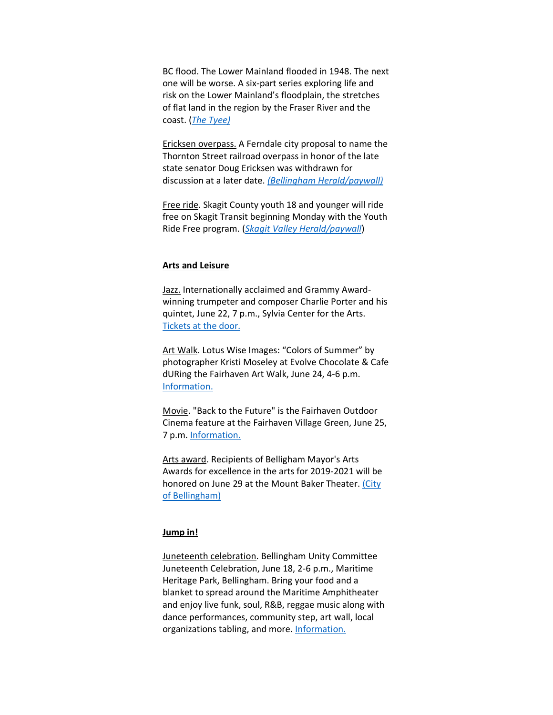BC flood. The Lower Mainland flooded in 1948. The next one will be worse. A six-part series exploring life and risk on the Lower Mainland's floodplain, the stretches of flat land in the region by the Fraser River and the coast. (*[The Tyee\)](https://thetyee.ca/News/2022/06/13/When-Floods-Hit-Will-We-Be-Ready/)*

Ericksen overpass. A Ferndale city proposal to name the Thornton Street railroad overpass in honor of the late state senator Doug Ericksen was withdrawn for discussion at a later date. *[\(Bellingham Herald/paywall\)](https://www.bellinghamherald.com/news/politics-government/article262031232.html)*

Free ride. Skagit County youth 18 and younger will ride free on Skagit Transit beginning Monday with the Youth Ride Free program. (*[Skagit Valley Herald/paywall](https://www.goskagit.com/news/local_news/youth-to-ride-for-free-on-skagit-transit-buses/article_e7bd686a-9b0f-57a5-8a38-5ebfdf3bba49.html)*)

#### **Arts and Leisure**

Jazz. Internationally acclaimed and Grammy Awardwinning trumpeter and composer Charlie Porter and his quintet, June 22, 7 p.m., Sylvia Center for the Arts. [Tickets at](https://www.whatcomtalk.com/event/the-charlie-porter-quintet/?instance_id=88265) the door.

Art Walk. Lotus Wise Images: "Colors of Summer" by photographer Kristi Moseley at Evolve Chocolate & Cafe dURing the Fairhaven Art Walk, June 24, 4-6 p.m. [Information.](https://www.whatcomtalk.com/event/lotus-wise-images-colors-of-summer-art-walk/?instance_id=89098)

Movie. "Back to the Future" is the Fairhaven Outdoor Cinema feature at the Fairhaven Village Green, June 25, 7 p.m[. Information.](https://www.whatcomtalk.com/event/fairhaven-outdoor-cinema/?instance_id=89059)

Arts award. Recipients of Belligham Mayor's Arts Awards for excellence in the arts for 2019-2021 will be honored on June 29 at the Mount Baker Theater. [\(City](https://cob.org/news/2022/mayors-arts-awards-recipients-announced)  [of Bellingham\)](https://cob.org/news/2022/mayors-arts-awards-recipients-announced)

#### **Jump in!**

Juneteenth celebration. Bellingham Unity Committee Juneteenth Celebration, June 18, 2-6 p.m., Maritime Heritage Park, Bellingham. Bring your food and a blanket to spread around the Maritime Amphitheater and enjoy live funk, soul, R&B, reggae music along with dance performances, community step, art wall, local organizations tabling, and more. [Information.](https://www.bellingham.org/eventdetail/24778/juneteenth-celebration)